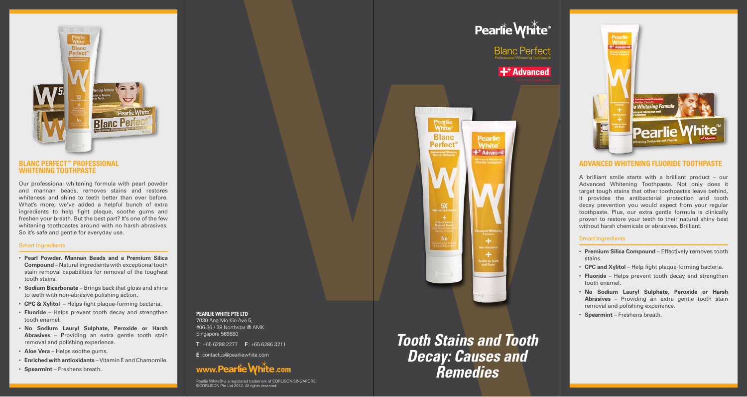

### **Blanc Perfect™ Professional Whitening Toothpaste**

Our professional whitening formula with pearl powder and mannan beads, removes stains and restores whiteness and shine to teeth better than ever before. What's more, we've added a helpful bunch of extra ingredients to help fight plaque, soothe gums and freshen your breath. But the best part? It's one of the few whitening toothpastes around with no harsh abrasives. So it's safe and gentle for everyday use.

### Smart Ingredients

- • **Pearl Powder, Mannan Beads and a Premium Silica Compound** – Natural ingredients with exceptional tooth stain removal capabilities for removal of the toughest tooth stains.
- **Sodium Bicarbonate** Brings back that gloss and shine to teeth with non-abrasive polishing action.
- • **CPC & Xylitol**  Helps fight plaque-forming bacteria.
- • **Fluoride**  Helps prevent tooth decay and strengthen tooth enamel.
- • **No Sodium Lauryl Sulphate, Peroxide or Harsh Abrasives** – Providing an extra gentle tooth stain removal and polishing experience.
- • **Aloe Vera**  Helps soothe gums.
- • **Enriched with antioxidants** Vitamin E and Chamomile.
- • **Spearmint** Freshens breath.

**Pearlie White Pte Ltd** 7030 Ang Mo Kio Ave 5, #06-36 / 39 Northstar @ AMK Singapore 569880

**T**: +65 6288 2277 **F**: +65 6286 3211

**E**: contactus@pearliewhite.com



Pearlie White® is a registered trademark of CORLISON SINGAPORE. ©CORLISON Pte Ltd 2012. All rights reserved.

# $\mathbf{+}^{\mathsf{+}}$  Advanced Pearlie<br>White **Blanc Pearlie Perfect** White  $+<sup>+</sup>$  Advanced **5X** No

Blanc Perfect Professional Whitening Toothpaste

Pearlie White®

*Tooth Stains and Tooth Decay: Causes and Remedies*



### **Advanced Whitening Fluoride Toothpaste**

A brilliant smile starts with a brilliant product – our Advanced Whitening Toothpaste. Not only does it target tough stains that other toothpastes leave behind, it provides the antibacterial protection and tooth decay prevention you would expect from your regular toothpaste. Plus, our extra gentle formula is clinically proven to restore your teeth to their natural shiny best without harsh chemicals or abrasives. Brilliant.

### Smart Ingredients

- • **Premium Silica Compound** Effectively removes tooth stains.
- • **CPC and Xylitol** Help fight plaque-forming bacteria.
- **Fluoride** Helps prevent tooth decay and strengthen tooth enamel.
- • **No Sodium Lauryl Sulphate, Peroxide or Harsh Abrasives** – Providing an extra gentle tooth stain removal and polishing experience.
- • **Spearmint** Freshens breath.